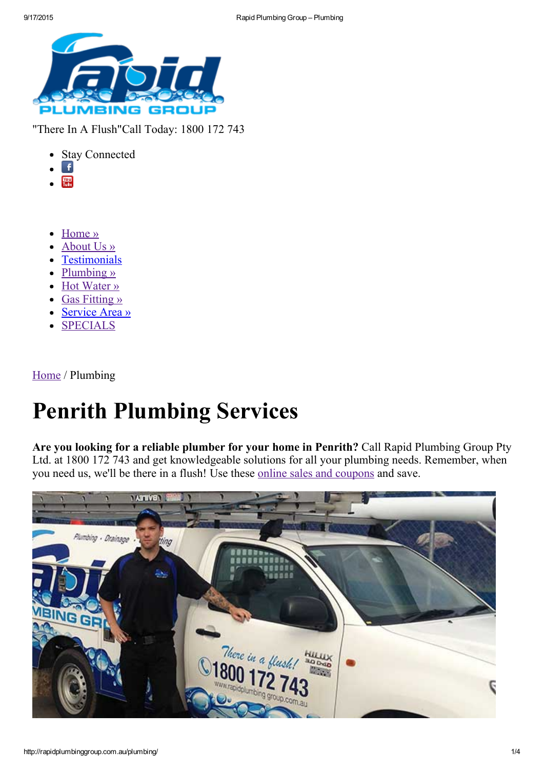

"There In A Flush"Call Today: 1800 172 743

- Stay Connected
- Ŧ
- **Tobe**  $\blacksquare$
- [Home](http://rapidplumbinggroup.com.au/) »  $\bullet$
- [About](http://rapidplumbinggroup.com.au/about-us/) Us »
- **[Testimonials](http://rapidplumbinggroup.com.au/testimonials/)**
- [Plumbing](http://rapidplumbinggroup.com.au/plumbing/) »
- Hot [Water](http://rapidplumbinggroup.com.au/hot-water-services/) »
- Gas [Fitting](http://rapidplumbinggroup.com.au/gas-fitting-repairs/) »  $\bullet$
- [Service](http://rapidplumbinggroup.com.au/service-area/) Area »
- [SPECIALS](http://rapidplumbinggroup.com.au/specials/)

[Home](http://rapidplumbinggroup.com.au/) / Plumbing

# Penrith Plumbing Services

Are you looking for a reliable plumber for your home in Penrith? Call Rapid Plumbing Group Pty Ltd. at 1800 172 743 and get knowledgeable solutions for all your plumbing needs. Remember, when you need us, we'll be there in a flush! Use these online sales and [coupons](http://rapidplumbinggroup.com.au/specials/) and save.

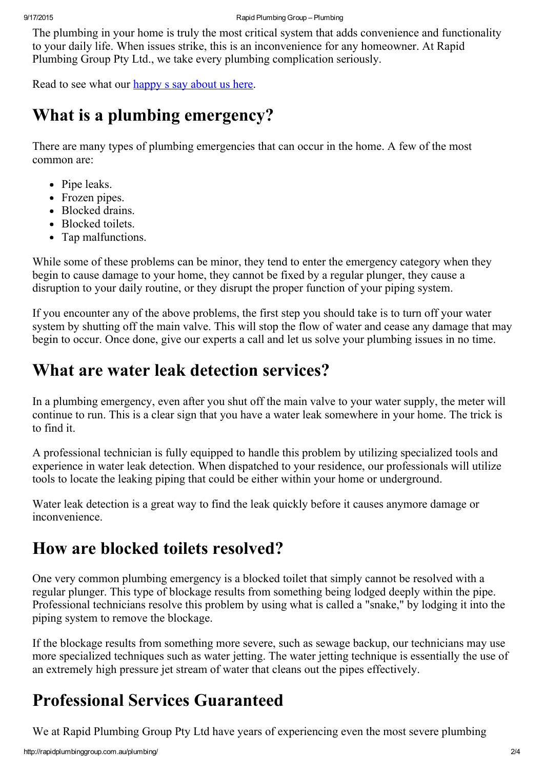The plumbing in your home is truly the most critical system that adds convenience and functionality to your daily life. When issues strike, this is an inconvenience for any homeowner. At Rapid Plumbing Group Pty Ltd., we take every plumbing complication seriously.

Read to see what our [happy](http://rapidplumbinggroup.com.au/testimonials/) s say about us here.

### What is a plumbing emergency?

There are many types of plumbing emergencies that can occur in the home. A few of the most common are:

- Pipe leaks.
- Frozen pipes.
- Blocked drains.
- Blocked toilets.
- Tap malfunctions.

While some of these problems can be minor, they tend to enter the emergency category when they begin to cause damage to your home, they cannot be fixed by a regular plunger, they cause a disruption to your daily routine, or they disrupt the proper function of your piping system.

If you encounter any of the above problems, the first step you should take is to turn off your water system by shutting off the main valve. This will stop the flow of water and cease any damage that may begin to occur. Once done, give our experts a call and let us solve your plumbing issues in no time.

#### What are water leak detection services?

In a plumbing emergency, even after you shut off the main valve to your water supply, the meter will continue to run. This is a clear sign that you have a water leak somewhere in your home. The trick is to find it.

A professional technician is fully equipped to handle this problem by utilizing specialized tools and experience in water leak detection. When dispatched to your residence, our professionals will utilize tools to locate the leaking piping that could be either within your home or underground.

Water leak detection is a great way to find the leak quickly before it causes anymore damage or inconvenience.

### How are blocked toilets resolved?

One very common plumbing emergency is a blocked toilet that simply cannot be resolved with a regular plunger. This type of blockage results from something being lodged deeply within the pipe. Professional technicians resolve this problem by using what is called a "snake," by lodging it into the piping system to remove the blockage.

If the blockage results from something more severe, such as sewage backup, our technicians may use more specialized techniques such as water jetting. The water jetting technique is essentially the use of an extremely high pressure jet stream of water that cleans out the pipes effectively.

## Professional Services Guaranteed

We at Rapid Plumbing Group Pty Ltd have years of experiencing even the most severe plumbing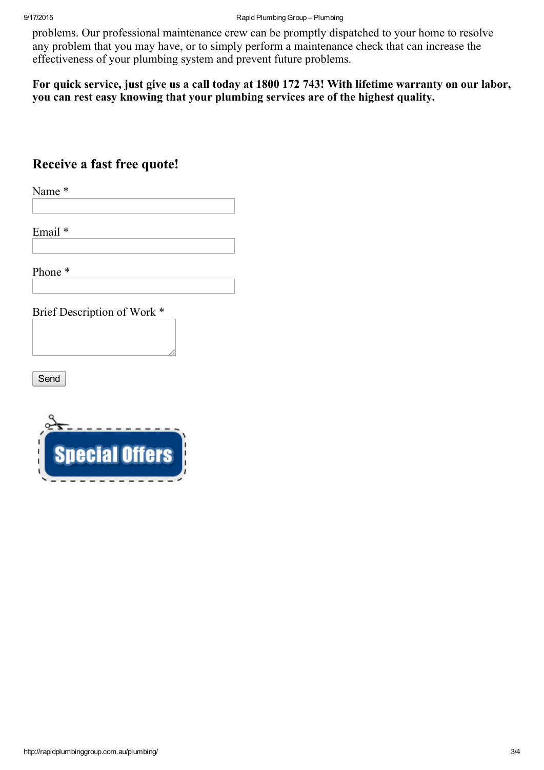problems. Our professional maintenance crew can be promptly dispatched to your home to resolve any problem that you may have, or to simply perform a maintenance check that can increase the effectiveness of your plumbing system and prevent future problems.

For quick service, just give us a call today at 1800 172 743! With lifetime warranty on our labor, you can rest easy knowing that your plumbing services are of the highest quality.

#### Receive a fast free quote!

Name \*

Email \*

Phone \*

Brief Description of Work \*

Send